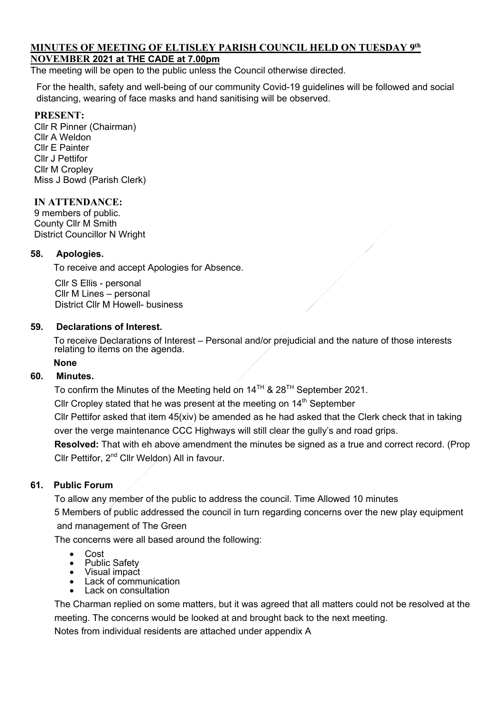## **MINUTES OF MEETING OF ELTISLEY PARISH COUNCIL HELD ON TUESDAY 9th NOVEMBER 2021 at THE CADE at 7.00pm**

The meeting will be open to the public unless the Council otherwise directed.

For the health, safety and well-being of our community Covid-19 guidelines will be followed and social distancing, wearing of face masks and hand sanitising will be observed.

## **PRESENT:**

Cllr R Pinner (Chairman) Cllr A Weldon Cllr E Painter Cllr J Pettifor Cllr M Cropley Miss J Bowd (Parish Clerk)

## **IN ATTENDANCE:**

9 members of public. County Cllr M Smith District Councillor N Wright

## **58. Apologies.**

To receive and accept Apologies for Absence.

 Cllr S Ellis - personal Cllr M Lines – personal District Cllr M Howell- business

#### **59. Declarations of Interest.**

To receive Declarations of Interest – Personal and/or prejudicial and the nature of those interests relating to items on the agenda.

#### **None**

#### **60. Minutes.**

To confirm the Minutes of the Meeting held on  $14^{TH}$  &  $28^{TH}$  September 2021.

Cllr Cropley stated that he was present at the meeting on  $14<sup>th</sup>$  September

Cllr Pettifor asked that item 45(xiv) be amended as he had asked that the Clerk check that in taking over the verge maintenance CCC Highways will still clear the gully's and road grips.

**Resolved:** That with eh above amendment the minutes be signed as a true and correct record. (Prop Cllr Pettifor, 2nd Cllr Weldon) All in favour.

#### **61. Public Forum**

To allow any member of the public to address the council. Time Allowed 10 minutes 5 Members of public addressed the council in turn regarding concerns over the new play equipment and management of The Green

The concerns were all based around the following:

- 
- 
- 
- Cost<br>• Public Safety<br>• Visual impact<br>• Lack on consultation<br>• Lack on consultation
- 

The Charman replied on some matters, but it was agreed that all matters could not be resolved at the meeting. The concerns would be looked at and brought back to the next meeting.

Notes from individual residents are attached under appendix A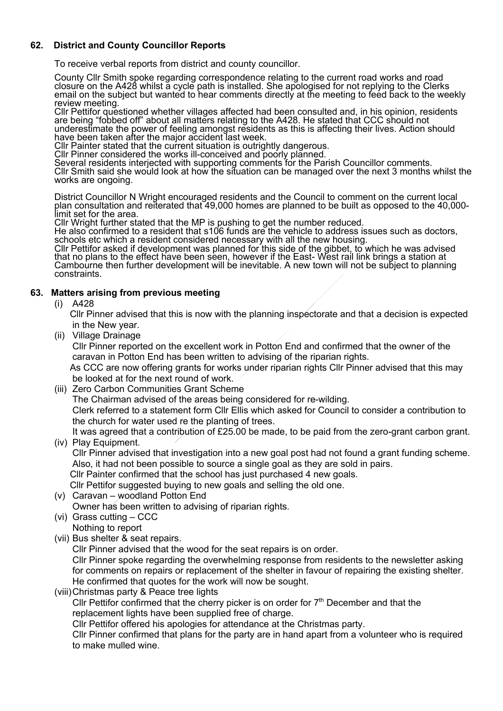## **62. District and County Councillor Reports**

To receive verbal reports from district and county councillor.

County Cllr Smith spoke regarding correspondence relating to the current road works and road closure on the A428 whilst a cycle path is installed. She apologised for not replying to the Clerks email on the subject but wanted to hear comments directly at the meeting to feed back to the weekly<br>review meeting.<br>Cllr Pettifor questioned whether villages affected had been consulted and, in his opinion, residents

Cllr Pettifor questioned whether villages affected had been consulted and, in his opinion, residents<br>are being "fobbed off" about all matters relating to the A428. He stated that CCC should not underestimate the power of feeling amongst residents as this is affecting their lives. Action should have been taken after the major accident last week.

Cllr Painter stated that the current situation is outrightly dangerous.<br>Cllr Pinner considered the works ill-conceived and poorly planned.

Several residents interjected with supporting comments for the Parish Councillor comments. Cllr Smith said she would look at how the situation can be managed over the next 3 months whilst the works are ongoing.

District Councillor N Wright encouraged residents and the Council to comment on the current local plan consultation and reiterated that 49,000 homes are planned to be built as opposed to the 40,000- limit set for the area.

Cllr Wright further stated that the MP is pushing to get the number reduced. He also confirmed to a resident that s106 funds are the vehicle to address issues such as doctors, schools etc which a resident considered necessary with all the new housing.

Clir Pettifor asked if development was planned for this side of the gibbet, to which he was advised<br>that no plans to the effect have been seen, however if the East-West rail link brings a station at<br>Cambourne then further

#### **63. Matters arising from previous meeting**

(i) A428

 Cllr Pinner advised that this is now with the planning inspectorate and that a decision is expected in the New year.

(ii) Village Drainage

 Cllr Pinner reported on the excellent work in Potton End and confirmed that the owner of the caravan in Potton End has been written to advising of the riparian rights.

 As CCC are now offering grants for works under riparian rights Cllr Pinner advised that this may be looked at for the next round of work.

(iii) Zero Carbon Communities Grant Scheme

The Chairman advised of the areas being considered for re-wilding.

 Clerk referred to a statement form Cllr Ellis which asked for Council to consider a contribution to the church for water used re the planting of trees.

 It was agreed that a contribution of £25.00 be made, to be paid from the zero-grant carbon grant. (iv) Play Equipment.

 Cllr Pinner advised that investigation into a new goal post had not found a grant funding scheme. Also, it had not been possible to source a single goal as they are sold in pairs.

Cllr Painter confirmed that the school has just purchased 4 new goals.

Cllr Pettifor suggested buying to new goals and selling the old one.

(v) Caravan – woodland Potton End

Owner has been written to advising of riparian rights.

- (vi) Grass cutting CCC
- Nothing to report
- (vii) Bus shelter & seat repairs.

Cllr Pinner advised that the wood for the seat repairs is on order.

 Cllr Pinner spoke regarding the overwhelming response from residents to the newsletter asking for comments on repairs or replacement of the shelter in favour of repairing the existing shelter. He confirmed that quotes for the work will now be sought.

(viii)Christmas party & Peace tree lights

Cllr Pettifor confirmed that the cherry picker is on order for  $7<sup>th</sup>$  December and that the replacement lights have been supplied free of charge.

Cllr Pettifor offered his apologies for attendance at the Christmas party.

 Cllr Pinner confirmed that plans for the party are in hand apart from a volunteer who is required to make mulled wine.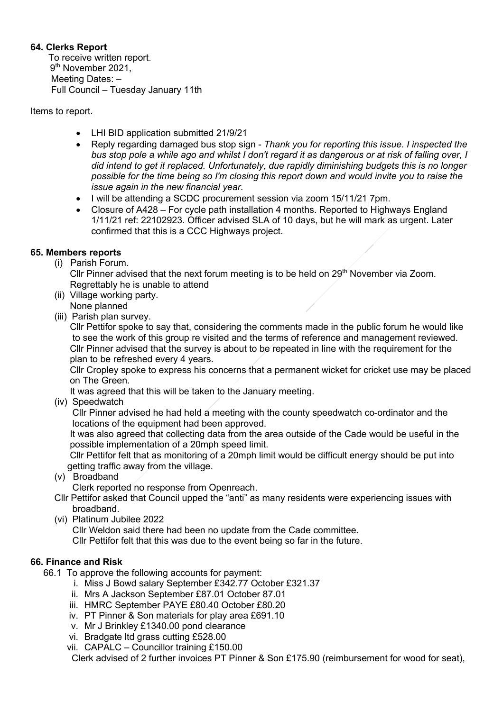# **64. Clerks Report**

To receive written report. 9<sup>th</sup> November 2021, Meeting Dates: – Full Council – Tuesday January 11th

Items to report.

- LHI BID application submitted 21/9/21
- Reply regarding damaged bus stop sign *Thank you for reporting this issue. I inspected the bus stop pole a while ago and whilst I don't regard it as dangerous or at risk of falling over, I did intend to get it replaced. Unfortunately, due rapidly diminishing budgets this is no longer possible for the time being so I'm closing this report down and would invite you to raise the issue again in the new financial year.*
- I will be attending a SCDC procurement session via zoom 15/11/21 7pm.
- Closure of A428 For cycle path installation 4 months. Reported to Highways England 1/11/21 ref: 22102923. Officer advised SLA of 10 days, but he will mark as urgent. Later confirmed that this is a CCC Highways project.

# **65. Members reports**

(i) Parish Forum.

Cllr Pinner advised that the next forum meeting is to be held on  $29<sup>th</sup>$  November via Zoom. Regrettably he is unable to attend

- (ii) Village working party.
- None planned
- (iii) Parish plan survey.

 Cllr Pettifor spoke to say that, considering the comments made in the public forum he would like to see the work of this group re visited and the terms of reference and management reviewed. Cllr Pinner advised that the survey is about to be repeated in line with the requirement for the plan to be refreshed every 4 years.

 Cllr Cropley spoke to express his concerns that a permanent wicket for cricket use may be placed on The Green.

It was agreed that this will be taken to the January meeting.

(iv) Speedwatch

 Cllr Pinner advised he had held a meeting with the county speedwatch co-ordinator and the locations of the equipment had been approved.

 It was also agreed that collecting data from the area outside of the Cade would be useful in the possible implementation of a 20mph speed limit.

 Cllr Pettifor felt that as monitoring of a 20mph limit would be difficult energy should be put into getting traffic away from the village.

(v) Broadband

Clerk reported no response from Openreach.

Cllr Pettifor asked that Council upped the "anti" as many residents were experiencing issues with broadband.

(vi) Platinum Jubilee 2022

Cllr Weldon said there had been no update from the Cade committee.

Cllr Pettifor felt that this was due to the event being so far in the future.

# **66. Finance and Risk**

- 66.1 To approve the following accounts for payment:
	- i. Miss J Bowd salary September £342.77 October £321.37
	- ii. Mrs A Jackson September £87.01 October 87.01
	- iii. HMRC September PAYE £80.40 October £80.20
	- iv. PT Pinner & Son materials for play area £691.10
	- v. Mr J Brinkley £1340.00 pond clearance
	- vi. Bradgate ltd grass cutting £528.00
	- vii. CAPALC Councillor training £150.00

Clerk advised of 2 further invoices PT Pinner & Son £175.90 (reimbursement for wood for seat),